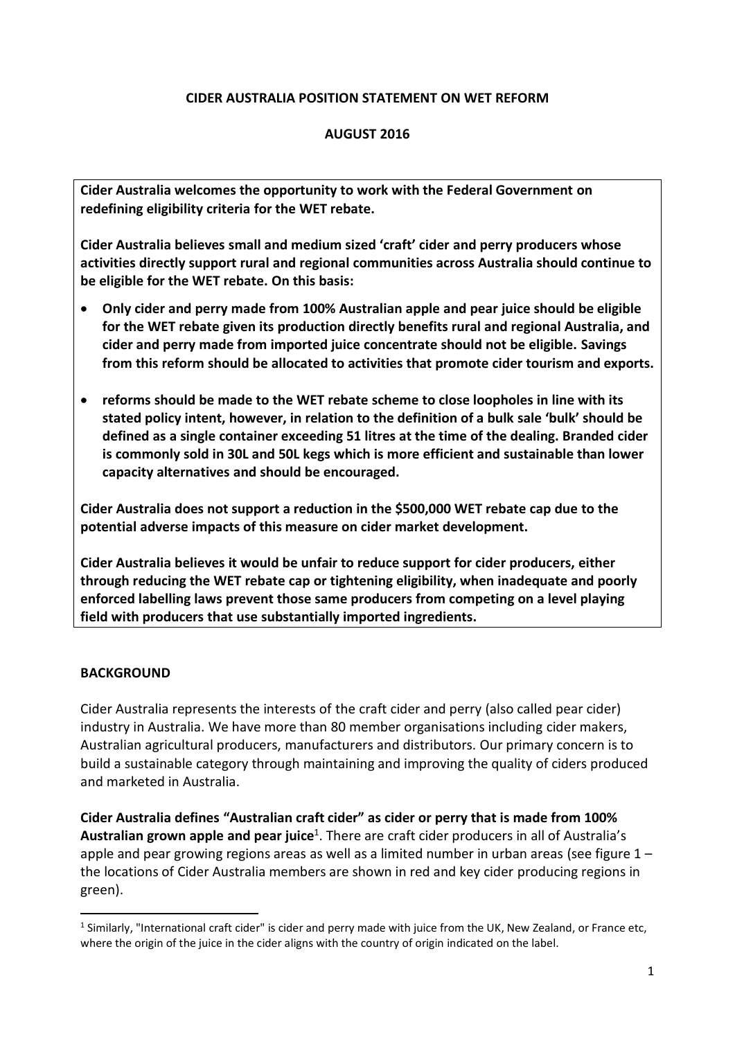### **CIDER AUSTRALIA POSITION STATEMENT ON WET REFORM**

### **AUGUST 2016**

**Cider Australia welcomes the opportunity to work with the Federal Government on redefining eligibility criteria for the WET rebate.**

**Cider Australia believes small and medium sized 'craft' cider and perry producers whose activities directly support rural and regional communities across Australia should continue to be eligible for the WET rebate. On this basis:**

- **Only cider and perry made from 100% Australian apple and pear juice should be eligible for the WET rebate given its production directly benefits rural and regional Australia, and cider and perry made from imported juice concentrate should not be eligible. Savings from this reform should be allocated to activities that promote cider tourism and exports.**
- **reforms should be made to the WET rebate scheme to close loopholes in line with its stated policy intent, however, in relation to the definition of a bulk sale 'bulk' should be defined as a single container exceeding 51 litres at the time of the dealing. Branded cider is commonly sold in 30L and 50L kegs which is more efficient and sustainable than lower capacity alternatives and should be encouraged.**

**Cider Australia does not support a reduction in the \$500,000 WET rebate cap due to the potential adverse impacts of this measure on cider market development.**

**Cider Australia believes it would be unfair to reduce support for cider producers, either through reducing the WET rebate cap or tightening eligibility, when inadequate and poorly enforced labelling laws prevent those same producers from competing on a level playing field with producers that use substantially imported ingredients.**

#### **BACKGROUND**

1

Cider Australia represents the interests of the craft cider and perry (also called pear cider) industry in Australia. We have more than 80 member organisations including cider makers, Australian agricultural producers, manufacturers and distributors. Our primary concern is to build a sustainable category through maintaining and improving the quality of ciders produced and marketed in Australia.

**Cider Australia defines "Australian craft cider" as cider or perry that is made from 100% Australian grown apple and pear juice**<sup>1</sup> . There are craft cider producers in all of Australia's apple and pear growing regions areas as well as a limited number in urban areas (see figure 1 – the locations of Cider Australia members are shown in red and key cider producing regions in green).

 $1$  Similarly, "International craft cider" is cider and perry made with juice from the UK, New Zealand, or France etc, where the origin of the juice in the cider aligns with the country of origin indicated on the label.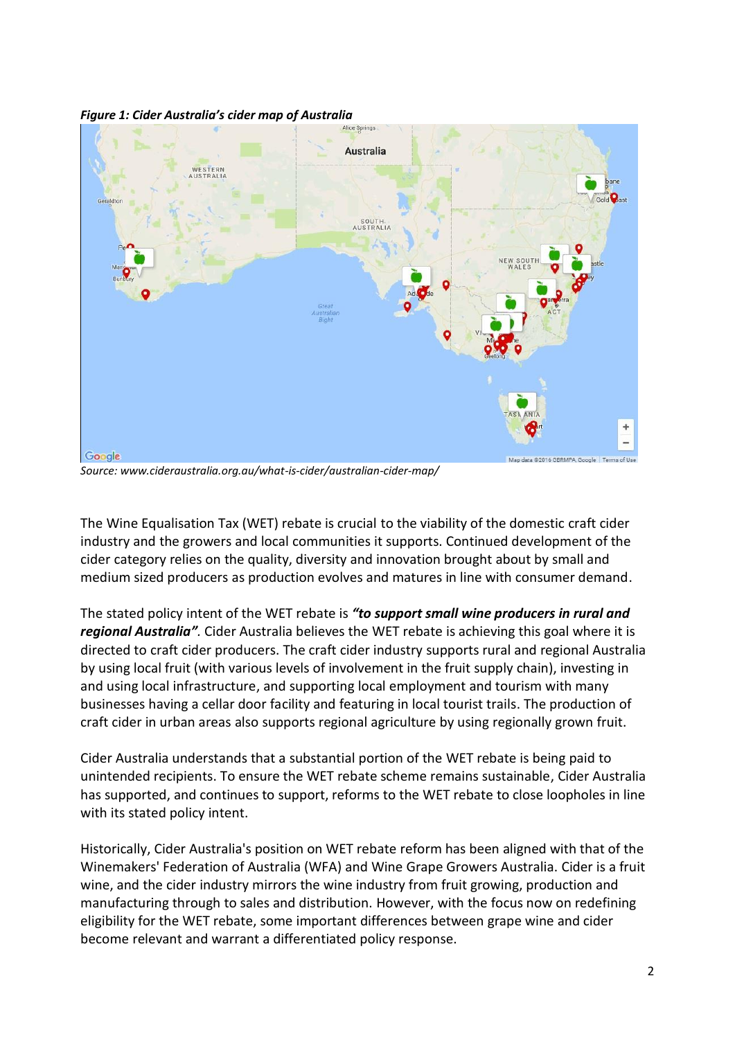*Figure 1: Cider Australia's cider map of Australia*



*Source: www.cideraustralia.org.au/what-is-cider/australian-cider-map/*

The Wine Equalisation Tax (WET) rebate is crucial to the viability of the domestic craft cider industry and the growers and local communities it supports. Continued development of the cider category relies on the quality, diversity and innovation brought about by small and medium sized producers as production evolves and matures in line with consumer demand.

The stated policy intent of the WET rebate is *"to support small wine producers in rural and regional Australia".* Cider Australia believes the WET rebate is achieving this goal where it is directed to craft cider producers. The craft cider industry supports rural and regional Australia by using local fruit (with various levels of involvement in the fruit supply chain), investing in and using local infrastructure, and supporting local employment and tourism with many businesses having a cellar door facility and featuring in local tourist trails. The production of craft cider in urban areas also supports regional agriculture by using regionally grown fruit.

Cider Australia understands that a substantial portion of the WET rebate is being paid to unintended recipients. To ensure the WET rebate scheme remains sustainable, Cider Australia has supported, and continues to support, reforms to the WET rebate to close loopholes in line with its stated policy intent.

Historically, Cider Australia's position on WET rebate reform has been aligned with that of the Winemakers' Federation of Australia (WFA) and Wine Grape Growers Australia. Cider is a fruit wine, and the cider industry mirrors the wine industry from fruit growing, production and manufacturing through to sales and distribution. However, with the focus now on redefining eligibility for the WET rebate, some important differences between grape wine and cider become relevant and warrant a differentiated policy response.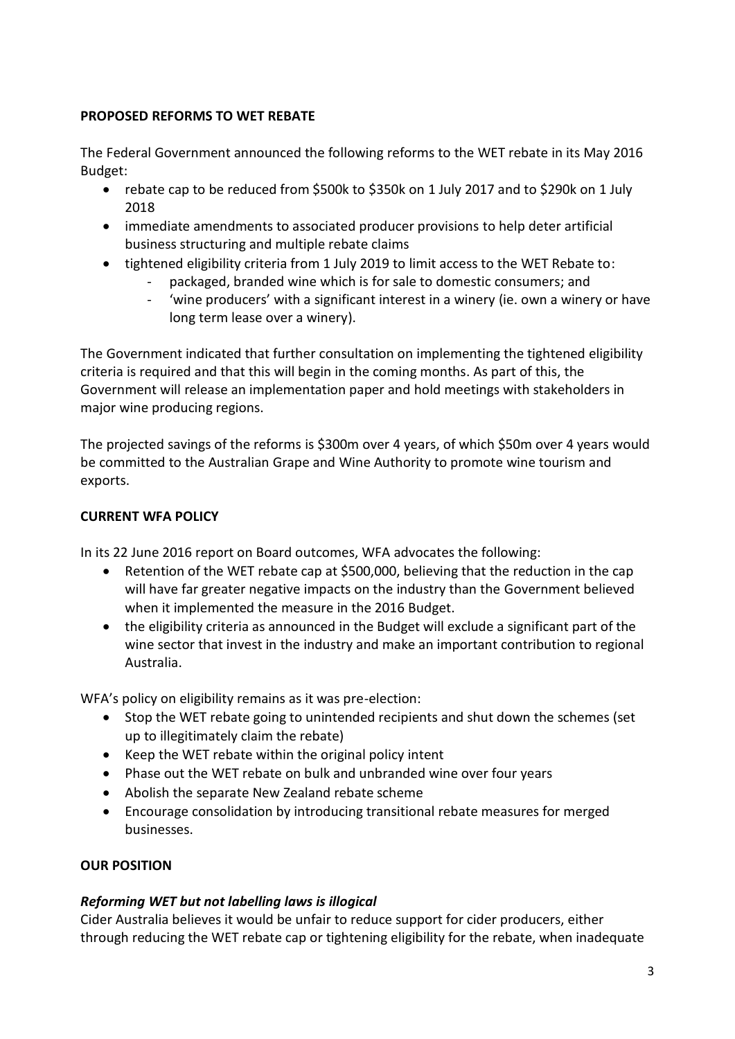## **PROPOSED REFORMS TO WET REBATE**

The Federal Government announced the following reforms to the WET rebate in its May 2016 Budget:

- rebate cap to be reduced from \$500k to \$350k on 1 July 2017 and to \$290k on 1 July 2018
- immediate amendments to associated producer provisions to help deter artificial business structuring and multiple rebate claims
- tightened eligibility criteria from 1 July 2019 to limit access to the WET Rebate to:
	- packaged, branded wine which is for sale to domestic consumers; and
	- 'wine producers' with a significant interest in a winery (ie. own a winery or have long term lease over a winery).

The Government indicated that further consultation on implementing the tightened eligibility criteria is required and that this will begin in the coming months. As part of this, the Government will release an implementation paper and hold meetings with stakeholders in major wine producing regions.

The projected savings of the reforms is \$300m over 4 years, of which \$50m over 4 years would be committed to the Australian Grape and Wine Authority to promote wine tourism and exports.

## **CURRENT WFA POLICY**

In its 22 June 2016 report on Board outcomes, WFA advocates the following:

- Retention of the WET rebate cap at \$500,000, believing that the reduction in the cap will have far greater negative impacts on the industry than the Government believed when it implemented the measure in the 2016 Budget.
- the eligibility criteria as announced in the Budget will exclude a significant part of the wine sector that invest in the industry and make an important contribution to regional Australia.

WFA's policy on eligibility remains as it was pre-election:

- Stop the WET rebate going to unintended recipients and shut down the schemes (set up to illegitimately claim the rebate)
- Keep the WET rebate within the original policy intent
- Phase out the WET rebate on bulk and unbranded wine over four years
- Abolish the separate New Zealand rebate scheme
- Encourage consolidation by introducing transitional rebate measures for merged businesses.

## **OUR POSITION**

# *Reforming WET but not labelling laws is illogical*

Cider Australia believes it would be unfair to reduce support for cider producers, either through reducing the WET rebate cap or tightening eligibility for the rebate, when inadequate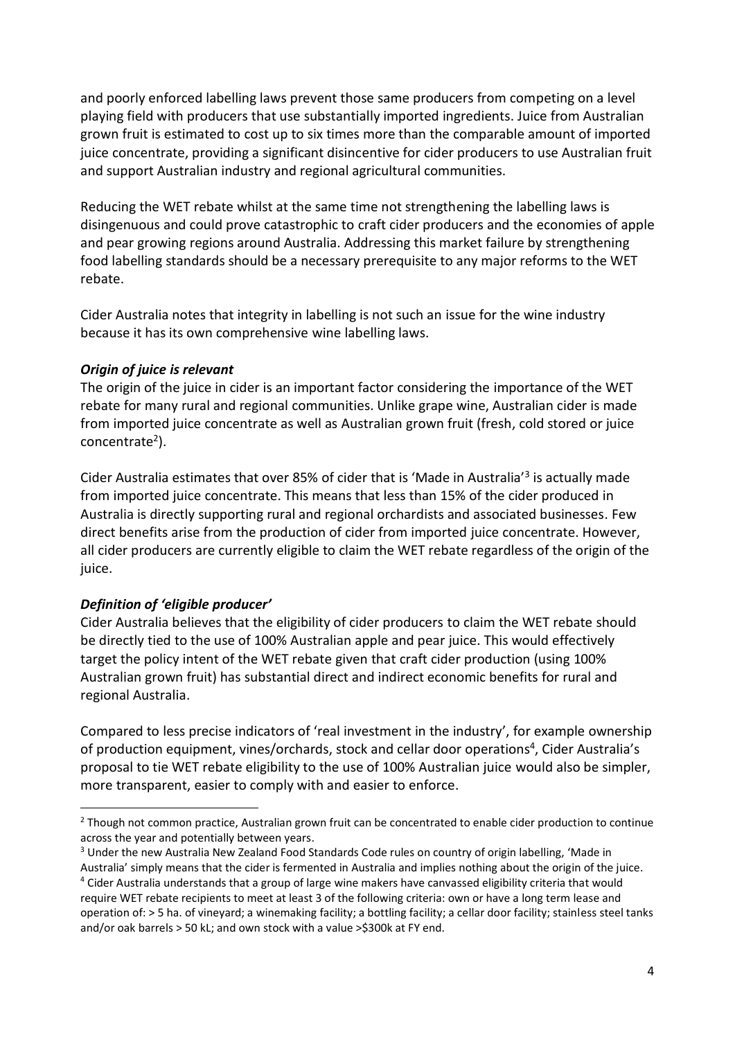and poorly enforced labelling laws prevent those same producers from competing on a level playing field with producers that use substantially imported ingredients. Juice from Australian grown fruit is estimated to cost up to six times more than the comparable amount of imported juice concentrate, providing a significant disincentive for cider producers to use Australian fruit and support Australian industry and regional agricultural communities.

Reducing the WET rebate whilst at the same time not strengthening the labelling laws is disingenuous and could prove catastrophic to craft cider producers and the economies of apple and pear growing regions around Australia. Addressing this market failure by strengthening food labelling standards should be a necessary prerequisite to any major reforms to the WET rebate.

Cider Australia notes that integrity in labelling is not such an issue for the wine industry because it has its own comprehensive wine labelling laws.

### *Origin of juice is relevant*

The origin of the juice in cider is an important factor considering the importance of the WET rebate for many rural and regional communities. Unlike grape wine, Australian cider is made from imported juice concentrate as well as Australian grown fruit (fresh, cold stored or juice concentrate<sup>2</sup>).

Cider Australia estimates that over 85% of cider that is 'Made in Australia'<sup>3</sup> is actually made from imported juice concentrate. This means that less than 15% of the cider produced in Australia is directly supporting rural and regional orchardists and associated businesses. Few direct benefits arise from the production of cider from imported juice concentrate. However, all cider producers are currently eligible to claim the WET rebate regardless of the origin of the juice.

### *Definition of 'eligible producer'*

1

Cider Australia believes that the eligibility of cider producers to claim the WET rebate should be directly tied to the use of 100% Australian apple and pear juice. This would effectively target the policy intent of the WET rebate given that craft cider production (using 100% Australian grown fruit) has substantial direct and indirect economic benefits for rural and regional Australia.

Compared to less precise indicators of 'real investment in the industry', for example ownership of production equipment, vines/orchards, stock and cellar door operations<sup>4</sup>, Cider Australia's proposal to tie WET rebate eligibility to the use of 100% Australian juice would also be simpler, more transparent, easier to comply with and easier to enforce.

<sup>&</sup>lt;sup>2</sup> Though not common practice, Australian grown fruit can be concentrated to enable cider production to continue across the year and potentially between years.

<sup>&</sup>lt;sup>3</sup> Under the new Australia New Zealand Food Standards Code rules on country of origin labelling, 'Made in

Australia' simply means that the cider is fermented in Australia and implies nothing about the origin of the juice. <sup>4</sup> Cider Australia understands that a group of large wine makers have canvassed eligibility criteria that would require WET rebate recipients to meet at least 3 of the following criteria: own or have a long term lease and operation of: > 5 ha. of vineyard; a winemaking facility; a bottling facility; a cellar door facility; stainless steel tanks and/or oak barrels > 50 kL; and own stock with a value >\$300k at FY end.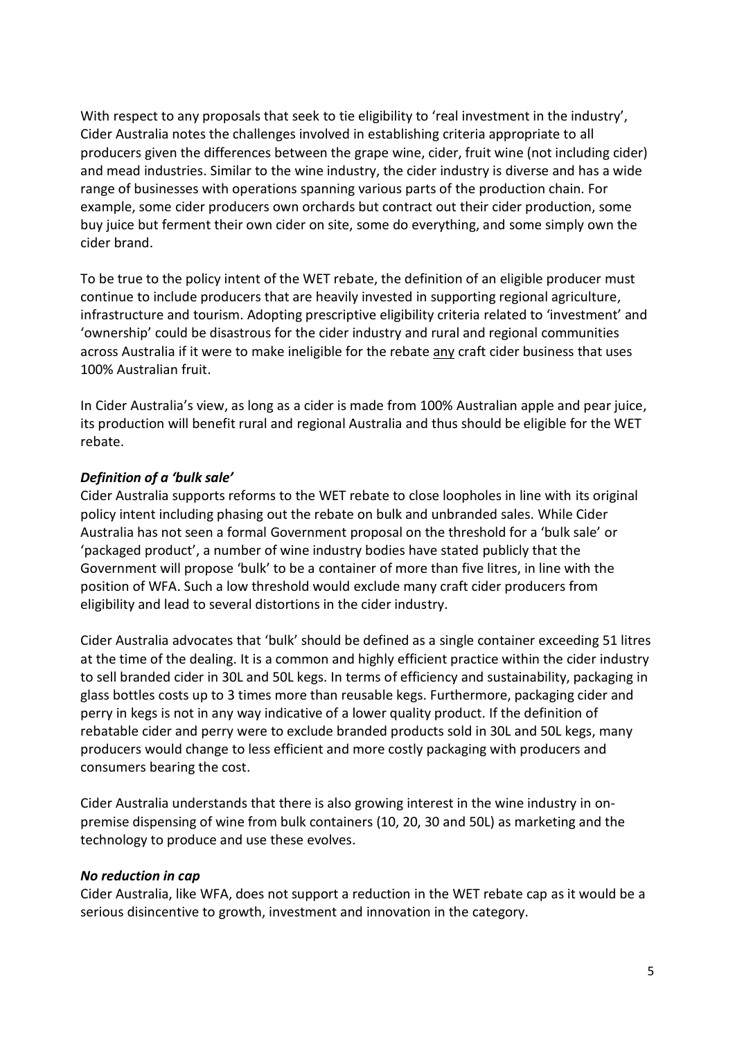With respect to any proposals that seek to tie eligibility to 'real investment in the industry', Cider Australia notes the challenges involved in establishing criteria appropriate to all producers given the differences between the grape wine, cider, fruit wine (not including cider) and mead industries. Similar to the wine industry, the cider industry is diverse and has a wide range of businesses with operations spanning various parts of the production chain. For example, some cider producers own orchards but contract out their cider production, some buy juice but ferment their own cider on site, some do everything, and some simply own the cider brand.

To be true to the policy intent of the WET rebate, the definition of an eligible producer must continue to include producers that are heavily invested in supporting regional agriculture, infrastructure and tourism. Adopting prescriptive eligibility criteria related to 'investment' and 'ownership' could be disastrous for the cider industry and rural and regional communities across Australia if it were to make ineligible for the rebate any craft cider business that uses 100% Australian fruit.

In Cider Australia's view, as long as a cider is made from 100% Australian apple and pear juice, its production will benefit rural and regional Australia and thus should be eligible for the WET rebate.

### *Definition of a 'bulk sale'*

Cider Australia supports reforms to the WET rebate to close loopholes in line with its original policy intent including phasing out the rebate on bulk and unbranded sales. While Cider Australia has not seen a formal Government proposal on the threshold for a 'bulk sale' or 'packaged product', a number of wine industry bodies have stated publicly that the Government will propose 'bulk' to be a container of more than five litres, in line with the position of WFA. Such a low threshold would exclude many craft cider producers from eligibility and lead to several distortions in the cider industry.

Cider Australia advocates that 'bulk' should be defined as a single container exceeding 51 litres at the time of the dealing. It is a common and highly efficient practice within the cider industry to sell branded cider in 30L and 50L kegs. In terms of efficiency and sustainability, packaging in glass bottles costs up to 3 times more than reusable kegs. Furthermore, packaging cider and perry in kegs is not in any way indicative of a lower quality product. If the definition of rebatable cider and perry were to exclude branded products sold in 30L and 50L kegs, many producers would change to less efficient and more costly packaging with producers and consumers bearing the cost.

Cider Australia understands that there is also growing interest in the wine industry in onpremise dispensing of wine from bulk containers (10, 20, 30 and 50L) as marketing and the technology to produce and use these evolves.

### *No reduction in cap*

Cider Australia, like WFA, does not support a reduction in the WET rebate cap as it would be a serious disincentive to growth, investment and innovation in the category.